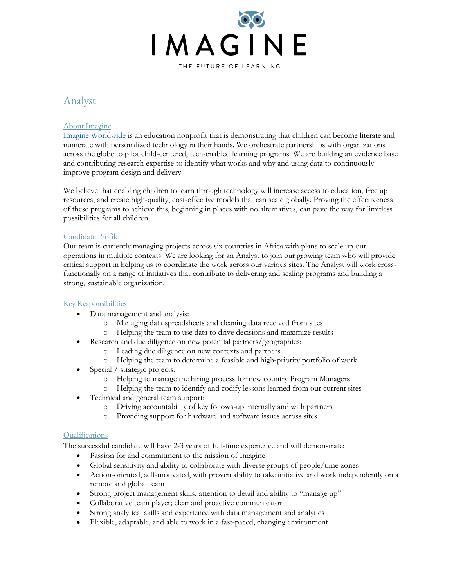

# Analyst

# About Imagine

Imagine Worldwide is an education nonprofit that is demonstrating that children can become literate and numerate with personalized technology in their hands. We orchestrate partnerships with organizations across the globe to pilot child-centered, tech-enabled learning programs. We are building an evidence base and contributing research expertise to identify what works and why and using data to continuously improve program design and delivery.

We believe that enabling children to learn through technology will increase access to education, free up resources, and create high-quality, cost-effective models that can scale globally. Proving the effectiveness of these programs to achieve this, beginning in places with no alternatives, can pave the way for limitless possibilities for all children.

## Candidate Profile

Our team is currently managing projects across six countries in Africa with plans to scale up our operations in multiple contexts. We are looking for an Analyst to join our growing team who will provide critical support in helping us to coordinate the work across our various sites. The Analyst will work crossfunctionally on a range of initiatives that contribute to delivering and scaling programs and building a strong, sustainable organization.

# Key Responsibilities

- Data management and analysis:
	- o Managing data spreadsheets and cleaning data received from sites
	- o Helping the team to use data to drive decisions and maximize results
- Research and due diligence on new potential partners/geographies:
	- o Leading due diligence on new contexts and partners
	- o Helping the team to determine a feasible and high-priority portfolio of work
- Special / strategic projects:
	- o Helping to manage the hiring process for new country Program Managers
	- o Helping the team to identify and codify lessons learned from our current sites
- Technical and general team support:
	- o Driving accountability of key follows-up internally and with partners
	- o Providing support for hardware and software issues across sites

## **Qualifications**

The successful candidate will have 2-3 years of full-time experience and will demonstrate:

- Passion for and commitment to the mission of Imagine
- Global sensitivity and ability to collaborate with diverse groups of people/time zones
- Action-oriented, self-motivated, with proven ability to take initiative and work independently on a remote and global team
- Strong project management skills, attention to detail and ability to "manage up"
- Collaborative team player; clear and proactive communicator
- Strong analytical skills and experience with data management and analytics
- Flexible, adaptable, and able to work in a fast-paced, changing environment